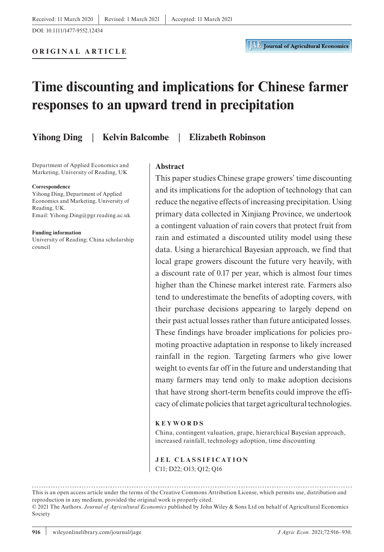**ORIGINAL ARTICLE**

# **Time discounting and implications for Chinese farmer responses to an upward trend in precipitation**

**Yihong Ding** | **Kelvin Balcombe** | **Elizabeth Robinson**

Department of Applied Economics and Marketing, University of Reading, UK

#### **Correspondence**

Yihong Ding, Department of Applied Economics and Marketing, University of Reading, UK. Email: [Yihong.Ding@pgr.reading.ac.uk](mailto:Yihong.Ding@pgr.reading.ac.uk)

**Funding information**

University of Reading; China scholarship council

#### **Abstract**

This paper studies Chinese grape growers' time discounting and its implications for the adoption of technology that can reduce the negative effects of increasing precipitation. Using primary data collected in Xinjiang Province, we undertook a contingent valuation of rain covers that protect fruit from rain and estimated a discounted utility model using these data. Using a hierarchical Bayesian approach, we find that local grape growers discount the future very heavily, with a discount rate of 0.17 per year, which is almost four times higher than the Chinese market interest rate. Farmers also tend to underestimate the benefits of adopting covers, with their purchase decisions appearing to largely depend on their past actual losses rather than future anticipated losses. These findings have broader implications for policies promoting proactive adaptation in response to likely increased rainfall in the region. Targeting farmers who give lower weight to events far off in the future and understanding that many farmers may tend only to make adoption decisions that have strong short-term benefits could improve the efficacy of climate policies that target agricultural technologies.

#### **KEYWORDS**

China, contingent valuation, grape, hierarchical Bayesian approach, increased rainfall, technology adoption, time discounting

**JEL CLASSIFICATION** C11; D22; O13; Q12; Q16

This is an open access article under the terms of the [Creative Commons Attribution](http://creativecommons.org/licenses/by/4.0/) License, which permits use, distribution and reproduction in any medium, provided the original work is properly cited. © 2021 The Authors. *Journal of Agricultural Economics* published by John Wiley & Sons Ltd on behalf of Agricultural Economics

Society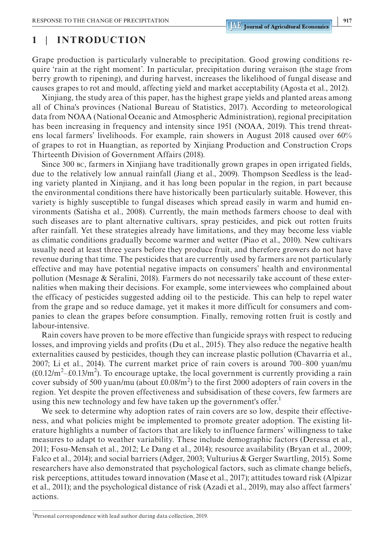# **1** | **INTRODUCTION**

Grape production is particularly vulnerable to precipitation. Good growing conditions require 'rain at the right moment'. In particular, precipitation during veraison (the stage from berry growth to ripening), and during harvest, increases the likelihood of fungal disease and causes grapes to rot and mould, affecting yield and market acceptability (Agosta et al., 2012).

Xinjiang, the study area of this paper, has the highest grape yields and planted areas among all of China's provinces (National Bureau of Statistics, 2017). According to meteorological data from NOAA (National Oceanic and Atmospheric Administration), regional precipitation has been increasing in frequency and intensity since 1951 (NOAA, 2019). This trend threatens local farmers' livelihoods. For example, rain showers in August 2018 caused over 60% of grapes to rot in Huangtian, as reported by Xinjiang Production and Construction Crops Thirteenth Division of Government Affairs (2018).

Since 300 bc, farmers in Xinjiang have traditionally grown grapes in open irrigated fields, due to the relatively low annual rainfall (Jiang et al., 2009). Thompson Seedless is the leading variety planted in Xinjiang, and it has long been popular in the region, in part because the environmental conditions there have historically been particularly suitable. However, this variety is highly susceptible to fungal diseases which spread easily in warm and humid environments (Satisha et al., 2008). Currently, the main methods farmers choose to deal with such diseases are to plant alternative cultivars, spray pesticides, and pick out rotten fruits after rainfall. Yet these strategies already have limitations, and they may become less viable as climatic conditions gradually become warmer and wetter (Piao et al., 2010). New cultivars usually need at least three years before they produce fruit, and therefore growers do not have revenue during that time. The pesticides that are currently used by farmers are not particularly effective and may have potential negative impacts on consumers' health and environmental pollution (Mesnage & Séralini, 2018). Farmers do not necessarily take account of these externalities when making their decisions. For example, some interviewees who complained about the efficacy of pesticides suggested adding oil to the pesticide. This can help to repel water from the grape and so reduce damage, yet it makes it more difficult for consumers and companies to clean the grapes before consumption. Finally, removing rotten fruit is costly and labour-intensive.

Rain covers have proven to be more effective than fungicide sprays with respect to reducing losses, and improving yields and profits (Du et al., 2015). They also reduce the negative health externalities caused by pesticides, though they can increase plastic pollution (Chavarria et al., 2007; Li et al., 2014). The current market price of rain covers is around 700–800 yuan/mu  $(\text{\pounds}0.12/m^2-\text{\pounds}0.13/m^2)$ . To encourage uptake, the local government is currently providing a rain cover subsidy of 500 yuan/mu (about  $\text{\pounds}0.08/\text{m}^2$ ) to the first 2000 adopters of rain covers in the region. Yet despite the proven effectiveness and subsidisation of these covers, few farmers are using this new technology and few have taken up the government's offer.<sup>1</sup>

We seek to determine why adoption rates of rain covers are so low, despite their effectiveness, and what policies might be implemented to promote greater adoption. The existing literature highlights a number of factors that are likely to influence farmers' willingness to take measures to adapt to weather variability. These include demographic factors (Deressa et al., 2011; Fosu-Mensah et al., 2012; Le Dang et al., 2014); resource availability (Bryan et al., 2009; Falco et al., 2014); and social barriers (Adger, 2003; Vulturius & Gerger Swartling, 2015). Some researchers have also demonstrated that psychological factors, such as climate change beliefs, risk perceptions, attitudes toward innovation (Mase et al., 2017); attitudes toward risk (Alpizar et al., 2011); and the psychological distance of risk (Azadi et al., 2019), may also affect farmers' actions.

<sup>&</sup>lt;sup>1</sup>Personal correspondence with lead author during data collection, 2019.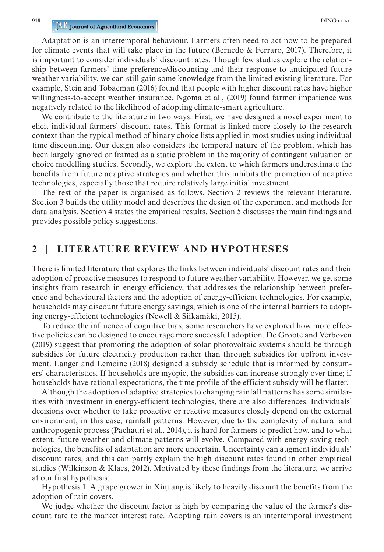**918 IDING ET AL. DING ET AL. DING ET AL. DING ET AL.** 

Adaptation is an intertemporal behaviour. Farmers often need to act now to be prepared for climate events that will take place in the future (Bernedo  $\&$  Ferraro, 2017). Therefore, it is important to consider individuals' discount rates. Though few studies explore the relationship between farmers' time preference/discounting and their response to anticipated future weather variability, we can still gain some knowledge from the limited existing literature. For example, Stein and Tobacman (2016) found that people with higher discount rates have higher willingness-to-accept weather insurance. Ngoma et al., (2019) found farmer impatience was negatively related to the likelihood of adopting climate-smart agriculture.

We contribute to the literature in two ways. First, we have designed a novel experiment to elicit individual farmers' discount rates. This format is linked more closely to the research context than the typical method of binary choice lists applied in most studies using individual time discounting. Our design also considers the temporal nature of the problem, which has been largely ignored or framed as a static problem in the majority of contingent valuation or choice modelling studies. Secondly, we explore the extent to which farmers underestimate the benefits from future adaptive strategies and whether this inhibits the promotion of adaptive technologies, especially those that require relatively large initial investment.

The rest of the paper is organised as follows. Section 2 reviews the relevant literature. Section 3 builds the utility model and describes the design of the experiment and methods for data analysis. Section 4 states the empirical results. Section 5 discusses the main findings and provides possible policy suggestions.

# **2** | **LITERATURE REVIEW AND HYPOTHESES**

There is limited literature that explores the links between individuals' discount rates and their adoption of proactive measures to respond to future weather variability. However, we get some insights from research in energy efficiency, that addresses the relationship between preference and behavioural factors and the adoption of energy-efficient technologies. For example, households may discount future energy savings, which is one of the internal barriers to adopting energy-efficient technologies (Newell & Siikamäki, 2015).

To reduce the influence of cognitive bias, some researchers have explored how more effective policies can be designed to encourage more successful adoption. De Groote and Verboven (2019) suggest that promoting the adoption of solar photovoltaic systems should be through subsidies for future electricity production rather than through subsidies for upfront investment. Langer and Lemoine (2018) designed a subsidy schedule that is informed by consumers' characteristics. If households are myopic, the subsidies can increase strongly over time; if households have rational expectations, the time profile of the efficient subsidy will be flatter.

Although the adoption of adaptive strategies to changing rainfall patterns has some similarities with investment in energy-efficient technologies, there are also differences. Individuals' decisions over whether to take proactive or reactive measures closely depend on the external environment, in this case, rainfall patterns. However, due to the complexity of natural and anthropogenic process (Pachauri et al., 2014), it is hard for farmers to predict how, and to what extent, future weather and climate patterns will evolve. Compared with energy-saving technologies, the benefits of adaptation are more uncertain. Uncertainty can augment individuals' discount rates, and this can partly explain the high discount rates found in other empirical studies (Wilkinson & Klaes, 2012). Motivated by these findings from the literature, we arrive at our first hypothesis:

Hypothesis 1: A grape grower in Xinjiang is likely to heavily discount the benefits from the adoption of rain covers.

We judge whether the discount factor is high by comparing the value of the farmer's discount rate to the market interest rate. Adopting rain covers is an intertemporal investment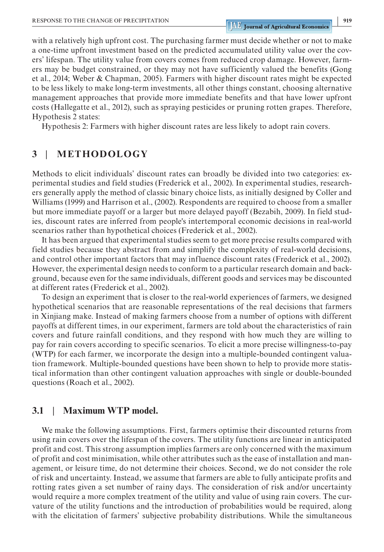with a relatively high upfront cost. The purchasing farmer must decide whether or not to make a one-time upfront investment based on the predicted accumulated utility value over the covers' lifespan. The utility value from covers comes from reduced crop damage. However, farmers may be budget constrained, or they may not have sufficiently valued the benefits (Gong et al., 2014; Weber & Chapman, 2005). Farmers with higher discount rates might be expected to be less likely to make long-term investments, all other things constant, choosing alternative management approaches that provide more immediate benefits and that have lower upfront costs (Hallegatte et al., 2012), such as spraying pesticides or pruning rotten grapes. Therefore, Hypothesis 2 states:

Hypothesis 2: Farmers with higher discount rates are less likely to adopt rain covers.

# **3** | **METHODOLOGY**

Methods to elicit individuals' discount rates can broadly be divided into two categories: experimental studies and field studies (Frederick et al., 2002). In experimental studies, researchers generally apply the method of classic binary choice lists, as initially designed by Coller and Williams (1999) and Harrison et al., (2002). Respondents are required to choose from a smaller but more immediate payoff or a larger but more delayed payoff (Bezabih, 2009). In field studies, discount rates are inferred from people's intertemporal economic decisions in real-world scenarios rather than hypothetical choices (Frederick et al., 2002).

It has been argued that experimental studies seem to get more precise results compared with field studies because they abstract from and simplify the complexity of real-world decisions, and control other important factors that may influence discount rates (Frederick et al., 2002). However, the experimental design needs to conform to a particular research domain and background, because even for the same individuals, different goods and services may be discounted at different rates (Frederick et al., 2002).

To design an experiment that is closer to the real-world experiences of farmers, we designed hypothetical scenarios that are reasonable representations of the real decisions that farmers in Xinjiang make. Instead of making farmers choose from a number of options with different payoffs at different times, in our experiment, farmers are told about the characteristics of rain covers and future rainfall conditions, and they respond with how much they are willing to pay for rain covers according to specific scenarios. To elicit a more precise willingness-to-pay (WTP) for each farmer, we incorporate the design into a multiple-bounded contingent valuation framework. Multiple-bounded questions have been shown to help to provide more statistical information than other contingent valuation approaches with single or double-bounded questions (Roach et al., 2002).

# **3.1** | **Maximum WTP model.**

We make the following assumptions. First, farmers optimise their discounted returns from using rain covers over the lifespan of the covers. The utility functions are linear in anticipated profit and cost. This strong assumption implies farmers are only concerned with the maximum of profit and cost minimisation, while other attributes such as the ease of installation and management, or leisure time, do not determine their choices. Second, we do not consider the role of risk and uncertainty. Instead, we assume that farmers are able to fully anticipate profits and rotting rates given a set number of rainy days. The consideration of risk and/or uncertainty would require a more complex treatment of the utility and value of using rain covers. The curvature of the utility functions and the introduction of probabilities would be required, along with the elicitation of farmers' subjective probability distributions. While the simultaneous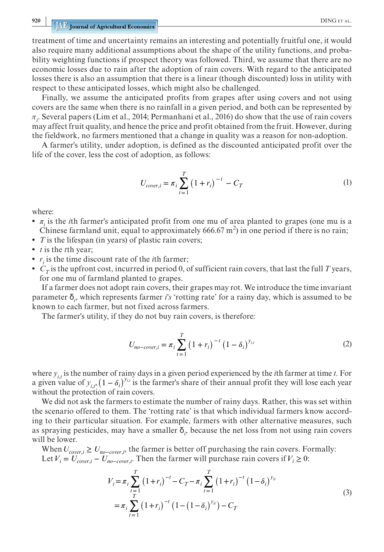treatment of time and uncertainty remains an interesting and potentially fruitful one, it would also require many additional assumptions about the shape of the utility functions, and probability weighting functions if prospect theory was followed. Third, we assume that there are no economic losses due to rain after the adoption of rain covers. With regard to the anticipated losses there is also an assumption that there is a linear (though discounted) loss in utility with respect to these anticipated losses, which might also be challenged.

Finally, we assume the anticipated profits from grapes after using covers and not using covers are the same when there is no rainfall in a given period, and both can be represented by  $\pi_i$ . Several papers (Lim et al., 2014; Permanhani et al., 2016) do show that the use of rain covers may affect fruit quality, and hence the price and profit obtained from the fruit. However, during the fieldwork, no farmers mentioned that a change in quality was a reason for non-adoption.

A farmer's utility, under adoption, is defined as the discounted anticipated profit over the life of the cover, less the cost of adoption, as follows:

$$
U_{cover,i} = \pi_i \sum_{t=1}^{T} (1 + r_i)^{-t} - C_T
$$
 (1)

where:

- $\pi$ <sub>*i*</sub> is the *i*th farmer's anticipated profit from one mu of area planted to grapes (one mu is a Chinese farmland unit, equal to approximately 666.67 m<sup>2</sup>) in one period if there is no rain;
- **•** *T* is the lifespan (in years) of plastic rain covers;
- **•** *t* is the *t*th year;
- $r_i$  is the time discount rate of the *i*th farmer;
- $C_T$  is the upfront cost, incurred in period 0, of sufficient rain covers, that last the full *T* years, for one mu of farmland planted to grapes.

If a farmer does not adopt rain covers, their grapes may rot. We introduce the time invariant parameter δ*<sup>i</sup>* , which represents farmer *i's* 'rotting rate' for a rainy day, which is assumed to be known to each farmer, but not fixed across farmers.

The farmer's utility, if they do not buy rain covers, is therefore:

$$
U_{no-cover,i} = \pi_i \sum_{t=1}^{T} (1 + r_i)^{-t} (1 - \delta_i)^{y_{i,t}}
$$
 (2)

where  $y_{i,t}$  is the number of rainy days in a given period experienced by the *i*th farmer at time *t*. For a given value of  $y_{i,t}$ ,  $(1 - \delta_i)^{y_{i,t}}$  is the farmer's share of their annual profit they will lose each year without the protection of rain covers.

We did not ask the farmers to estimate the number of rainy days. Rather, this was set within the scenario offered to them. The 'rotting rate' is that which individual farmers know according to their particular situation. For example, farmers with other alternative measures, such as spraying pesticides, may have a smaller  $\delta$ <sub>i</sub>, because the net loss from not using rain covers will be lower.

When  $U_{cover,i} \geq U_{no-cover,i}$ , the farmer is better off purchasing the rain covers. Formally: Let  $V_i = U_{cover,i} - U_{no-cover,i}$ . Then the farmer will purchase rain covers if  $V_i \ge 0$ :

$$
V_{i} = \pi_{i} \sum_{\substack{r=1 \ r \neq i}}^{T} (1+r_{i})^{-t} - C_{T} - \pi_{i} \sum_{t=1}^{T} (1+r_{i})^{-t} (1-\delta_{i})^{y_{it}}
$$
  
=  $\pi_{i} \sum_{t=1}^{T} (1+r_{i})^{-t} (1-(1-\delta_{i})^{y_{it}}) - C_{T}$  (3)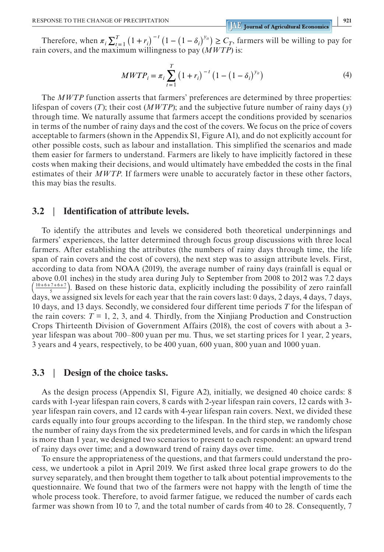Therefore, when  $\pi_i \sum_{t=1}^T (1 + r_i)^{-t} (1 - (1 - \delta_i)^{y_i}) \ge C_T$ , farmers will be willing to pay for rain covers, and the maximum willingness to pay (*MWTP*) is:

$$
MWTP_i = \pi_i \sum_{t=1}^{T} (1+r_i)^{-t} (1 - (1-\delta_i)^{y_{it}})
$$
 (4)

The *MWTP* function asserts that farmers' preferences are determined by three properties: lifespan of covers (*T*); their cost (*MWTP*); and the subjective future number of rainy days (*y*) through time. We naturally assume that farmers accept the conditions provided by scenarios in terms of the number of rainy days and the cost of the covers. We focus on the price of covers acceptable to farmers (shown in the Appendix S1, Figure A1), and do not explicitly account for other possible costs, such as labour and installation. This simplified the scenarios and made them easier for farmers to understand. Farmers are likely to have implicitly factored in these costs when making their decisions, and would ultimately have embedded the costs in the final estimates of their *MWTP*. If farmers were unable to accurately factor in these other factors, this may bias the results.

#### **3.2** | **Identification of attribute levels.**

To identify the attributes and levels we considered both theoretical underpinnings and farmers' experiences, the latter determined through focus group discussions with three local farmers. After establishing the attributes (the numbers of rainy days through time, the life span of rain covers and the cost of covers), the next step was to assign attribute levels. First, according to data from NOAA (2019), the average number of rainy days (rainfall is equal or above 0.01 inches) in the study area during July to September from 2008 to 2012 was 7.2 days  $\frac{10+6+7+6+7}{5}$ ). Based on these historic data, explicitly including the possibility of zero rainfall days, we assigned six levels for each year that the rain covers last: 0 days, 2 days, 4 days, 7 days, 10 days, and 13 days. Secondly, we considered four different time periods *T* for the lifespan of the rain covers:  $T = 1, 2, 3,$  and 4. Thirdly, from the Xinjiang Production and Construction Crops Thirteenth Division of Government Affairs (2018), the cost of covers with about a 3 year lifespan was about 700–800 yuan per mu. Thus, we set starting prices for 1 year, 2 years, 3 years and 4 years, respectively, to be 400 yuan, 600 yuan, 800 yuan and 1000 yuan.

#### **3.3** | **Design of the choice tasks.**

As the design process (Appendix S1, Figure A2), initially, we designed 40 choice cards: 8 cards with 1-year lifespan rain covers, 8 cards with 2-year lifespan rain covers, 12 cards with 3 year lifespan rain covers, and 12 cards with 4-year lifespan rain covers. Next, we divided these cards equally into four groups according to the lifespan. In the third step, we randomly chose the number of rainy days from the six predetermined levels, and for cards in which the lifespan is more than 1 year, we designed two scenarios to present to each respondent: an upward trend of rainy days over time; and a downward trend of rainy days over time.

To ensure the appropriateness of the questions, and that farmers could understand the process, we undertook a pilot in April 2019. We first asked three local grape growers to do the survey separately, and then brought them together to talk about potential improvements to the questionnaire. We found that two of the farmers were not happy with the length of time the whole process took. Therefore, to avoid farmer fatigue, we reduced the number of cards each farmer was shown from 10 to 7, and the total number of cards from 40 to 28. Consequently, 7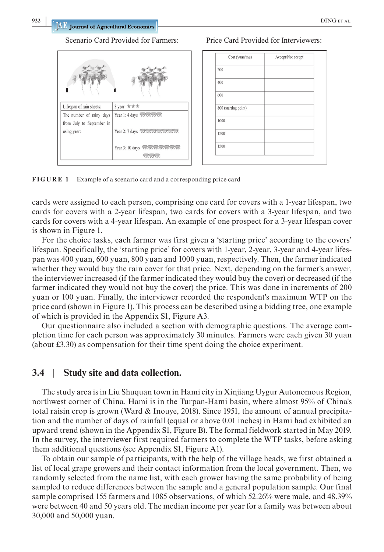Scenario Card Provided for Farmers: Price Card Provided for Interviewers:

| Lifespan of rain sheets:  | 3 year ***                        |
|---------------------------|-----------------------------------|
| The number of rainy days  | Year 1: 4 days within             |
| from July to September in |                                   |
| using year:               | Year 2: 7 days with the thing     |
|                           |                                   |
|                           | Year 3: 10 days and with with the |
|                           |                                   |

| Cost (yuan/mu)       | Accept/Not accept |
|----------------------|-------------------|
| 200                  |                   |
| 400                  |                   |
| 600                  |                   |
| 800 (starting point) |                   |
| 1000                 |                   |
| 1200                 |                   |
| 1500                 |                   |

**FIGURE 1** Example of a scenario card and a corresponding price card

cards were assigned to each person, comprising one card for covers with a 1-year lifespan, two cards for covers with a 2-year lifespan, two cards for covers with a 3-year lifespan, and two cards for covers with a 4-year lifespan. An example of one prospect for a 3-year lifespan cover is shown in Figure 1.

For the choice tasks, each farmer was first given a 'starting price' according to the covers' lifespan. Specifically, the 'starting price' for covers with 1-year, 2-year, 3-year and 4-year lifespan was 400 yuan, 600 yuan, 800 yuan and 1000 yuan, respectively. Then, the farmer indicated whether they would buy the rain cover for that price. Next, depending on the farmer's answer, the interviewer increased (if the farmer indicated they would buy the cover) or decreased (if the farmer indicated they would not buy the cover) the price. This was done in increments of 200 yuan or 100 yuan. Finally, the interviewer recorded the respondent's maximum WTP on the price card (shown in Figure 1). This process can be described using a bidding tree, one example of which is provided in the Appendix S1, Figure A3.

Our questionnaire also included a section with demographic questions. The average completion time for each person was approximately 30 minutes. Farmers were each given 30 yuan (about £3.30) as compensation for their time spent doing the choice experiment.

#### **3.4** | **Study site and data collection.**

The study area is in Liu Shuquan town in Hami city in Xinjiang Uygur Autonomous Region, northwest corner of China. Hami is in the Turpan-Hami basin, where almost 95% of China's total raisin crop is grown (Ward & Inouye, 2018). Since 1951, the amount of annual precipitation and the number of days of rainfall (equal or above 0.01 inches) in Hami had exhibited an upward trend (shown in the Appendix S1, Figure B). The formal fieldwork started in May 2019. In the survey, the interviewer first required farmers to complete the WTP tasks, before asking them additional questions (see Appendix S1, Figure A1).

To obtain our sample of participants, with the help of the village heads, we first obtained a list of local grape growers and their contact information from the local government. Then, we randomly selected from the name list, with each grower having the same probability of being sampled to reduce differences between the sample and a general population sample. Our final sample comprised 155 farmers and 1085 observations, of which 52.26% were male, and 48.39% were between 40 and 50 years old. The median income per year for a family was between about 30,000 and 50,000 yuan.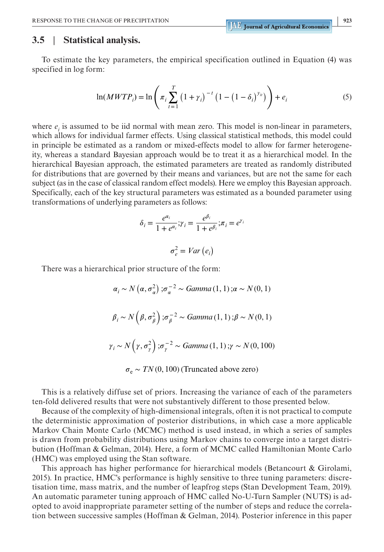## **3.5** | **Statistical analysis.**

To estimate the key parameters, the empirical specification outlined in Equation (4) was specified in log form:

$$
\ln(MWTP_i) = \ln\left(\pi_i \sum_{t=1}^T (1 + \gamma_i)^{-t} \left(1 - (1 - \delta_i)^{y_{it}}\right)\right) + e_i
$$
 (5)

where  $e_i$  is assumed to be iid normal with mean zero. This model is non-linear in parameters, which allows for individual farmer effects. Using classical statistical methods, this model could in principle be estimated as a random or mixed-effects model to allow for farmer heterogeneity, whereas a standard Bayesian approach would be to treat it as a hierarchical model. In the hierarchical Bayesian approach, the estimated parameters are treated as randomly distributed for distributions that are governed by their means and variances, but are not the same for each subject (as in the case of classical random effect models). Here we employ this Bayesian approach. Specifically, each of the key structural parameters was estimated as a bounded parameter using transformations of underlying parameters as follows:

$$
\delta_i = \frac{e^{\alpha_i}}{1 + e^{\alpha_i}}; \gamma_i = \frac{e^{\beta_i}}{1 + e^{\beta_i}}; \pi_i = e^{\gamma_i}
$$

$$
\sigma_e^2 = Var(e_i)
$$

There was a hierarchical prior structure of the form:

$$
\alpha_i \sim N(\alpha, \sigma_\alpha^2); \sigma_\alpha^{-2} \sim Gamma(1, 1); \alpha \sim N(0, 1)
$$
  

$$
\beta_i \sim N(\beta, \sigma_\beta^2); \sigma_\beta^{-2} \sim Gamma(1, 1); \beta \sim N(0, 1)
$$
  

$$
\gamma_i \sim N(\gamma, \sigma_\gamma^2); \sigma_\gamma^{-2} \sim Gamma(1, 1); \gamma \sim N(0, 100)
$$
  

$$
\sigma_e \sim TN(0, 100) (Truncated above zero)
$$

This is a relatively diffuse set of priors. Increasing the variance of each of the parameters ten-fold delivered results that were not substantively different to those presented below.

Because of the complexity of high-dimensional integrals, often it is not practical to compute the deterministic approximation of posterior distributions, in which case a more applicable Markov Chain Monte Carlo (MCMC) method is used instead, in which a series of samples is drawn from probability distributions using Markov chains to converge into a target distribution (Hoffman & Gelman, 2014). Here, a form of MCMC called Hamiltonian Monte Carlo (HMC) was employed using the Stan software.

This approach has higher performance for hierarchical models (Betancourt & Girolami, 2015). In practice, HMC's performance is highly sensitive to three tuning parameters: discretisation time, mass matrix, and the number of leapfrog steps (Stan Development Team, 2019). An automatic parameter tuning approach of HMC called No-U-Turn Sampler (NUTS) is adopted to avoid inappropriate parameter setting of the number of steps and reduce the correlation between successive samples (Hoffman & Gelman, 2014). Posterior inference in this paper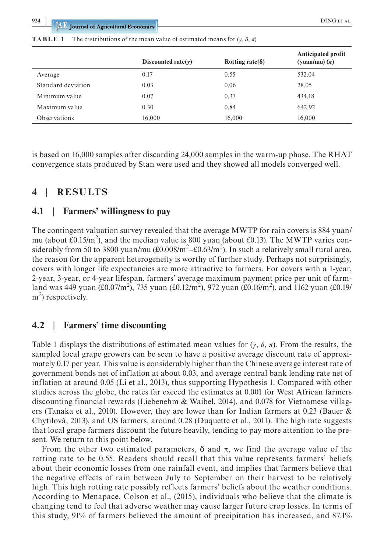|                     | Discounted rate( $\gamma$ ) | Rotting rate( $\delta$ ) | Anticipated profit<br>(yuan/mu) $(\pi)$ |
|---------------------|-----------------------------|--------------------------|-----------------------------------------|
| Average             | 0.17                        | 0.55                     | 532.04                                  |
| Standard deviation  | 0.03                        | 0.06                     | 28.05                                   |
| Minimum value       | 0.07                        | 0.37                     | 434.18                                  |
| Maximum value       | 0.30                        | 0.84                     | 642.92                                  |
| <b>Observations</b> | 16,000                      | 16,000                   | 16.000                                  |

**TABLE 1** The distributions of the mean value of estimated means for  $(\gamma, \delta, \pi)$ 

is based on 16,000 samples after discarding 24,000 samples in the warm-up phase. The RHAT convergence stats produced by Stan were used and they showed all models converged well.

# **4** | **RESULTS**

#### **4.1** | **Farmers' willingness to pay**

The contingent valuation survey revealed that the average MWTP for rain covers is 884 yuan/ mu (about £0.15/m<sup>2</sup>), and the median value is 800 yuan (about £0.13). The MWTP varies considerably from 50 to 3800 yuan/mu (£0.008/m<sup>2</sup>–£0.63/m<sup>2</sup>). In such a relatively small rural area, the reason for the apparent heterogeneity is worthy of further study. Perhaps not surprisingly, covers with longer life expectancies are more attractive to farmers. For covers with a 1-year, 2-year, 3-year, or 4-year lifespan, farmers' average maximum payment price per unit of farmland was 449 yuan (£0.07/m<sup>2</sup>), 735 yuan (£0.12/m<sup>2</sup>), 972 yuan (£0.16/m<sup>2</sup>), and 1162 yuan (£0.19/  $m<sup>2</sup>$ ) respectively.

### **4.2** | **Farmers' time discounting**

Table 1 displays the distributions of estimated mean values for  $(\gamma, \delta, \pi)$ . From the results, the sampled local grape growers can be seen to have a positive average discount rate of approximately 0.17 per year. This value is considerably higher than the Chinese average interest rate of government bonds net of inflation at about 0.03, and average central bank lending rate net of inflation at around 0.05 (Li et al., 2013), thus supporting Hypothesis 1. Compared with other studies across the globe, the rates far exceed the estimates at 0.001 for West African farmers discounting financial rewards (Liebenehm & Waibel, 2014), and 0.078 for Vietnamese villagers (Tanaka et al., 2010). However, they are lower than for Indian farmers at 0.23 (Bauer & Chytilová, 2013), and US farmers, around 0.28 (Duquette et al., 2011). The high rate suggests that local grape farmers discount the future heavily, tending to pay more attention to the present. We return to this point below.

From the other two estimated parameters,  $\delta$  and  $\pi$ , we find the average value of the rotting rate to be 0.55. Readers should recall that this value represents farmers' beliefs about their economic losses from one rainfall event, and implies that farmers believe that the negative effects of rain between July to September on their harvest to be relatively high. This high rotting rate possibly reflects farmers' beliefs about the weather conditions. According to Menapace, Colson et al., (2015), individuals who believe that the climate is changing tend to feel that adverse weather may cause larger future crop losses. In terms of this study, 91% of farmers believed the amount of precipitation has increased, and 87.1%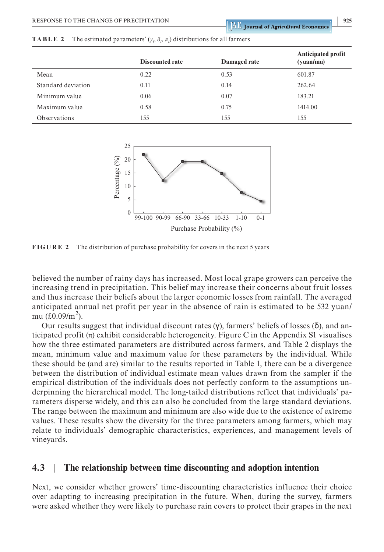|                    | <b>Discounted rate</b> | Damaged rate | <b>Anticipated profit</b><br>(yuan/mu) |
|--------------------|------------------------|--------------|----------------------------------------|
| Mean               | 0.22                   | 0.53         | 601.87                                 |
| Standard deviation | 0.11                   | 0.14         | 262.64                                 |
| Minimum value      | 0.06                   | 0.07         | 183.21                                 |
| Maximum value      | 0.58                   | 0.75         | 1414.00                                |
| Observations       | 155                    | 155          | 155                                    |





**FIGURE 2** The distribution of purchase probability for covers in the next 5 years

believed the number of rainy days has increased. Most local grape growers can perceive the increasing trend in precipitation. This belief may increase their concerns about fruit losses and thus increase their beliefs about the larger economic losses from rainfall. The averaged anticipated annual net profit per year in the absence of rain is estimated to be 532 yuan/ mu (£0.09/m<sup>2</sup>).

Our results suggest that individual discount rates (γ), farmers' beliefs of losses (δ), and anticipated profit  $(\pi)$  exhibit considerable heterogeneity. Figure C in the Appendix S1 visualises how the three estimated parameters are distributed across farmers, and Table 2 displays the mean, minimum value and maximum value for these parameters by the individual. While these should be (and are) similar to the results reported in Table 1, there can be a divergence between the distribution of individual estimate mean values drawn from the sampler if the empirical distribution of the individuals does not perfectly conform to the assumptions underpinning the hierarchical model. The long-tailed distributions reflect that individuals' parameters disperse widely, and this can also be concluded from the large standard deviations. The range between the maximum and minimum are also wide due to the existence of extreme values. These results show the diversity for the three parameters among farmers, which may relate to individuals' demographic characteristics, experiences, and management levels of vineyards.

# **4.3** | **The relationship between time discounting and adoption intention**

Next, we consider whether growers' time-discounting characteristics influence their choice over adapting to increasing precipitation in the future. When, during the survey, farmers were asked whether they were likely to purchase rain covers to protect their grapes in the next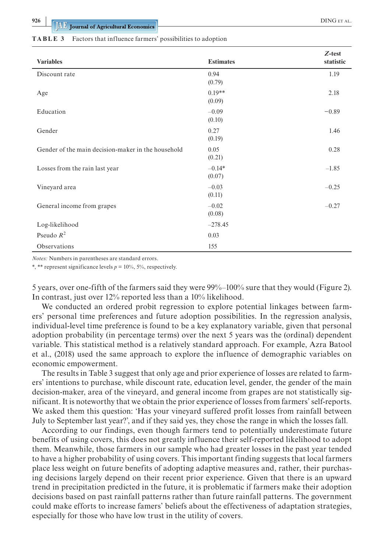#### **TABLE 3** Factors that influence farmers' possibilities to adoption

| <b>Variables</b>                                   | <b>Estimates</b>   | $Z$ -test<br>statistic |
|----------------------------------------------------|--------------------|------------------------|
| Discount rate                                      | 0.94<br>(0.79)     | 1.19                   |
| Age                                                | $0.19**$<br>(0.09) | 2.18                   |
| Education                                          | $-0.09$<br>(0.10)  | $-0.89$                |
| Gender                                             | 0.27<br>(0.19)     | 1.46                   |
| Gender of the main decision-maker in the household | 0.05<br>(0.21)     | 0.28                   |
| Losses from the rain last year                     | $-0.14*$<br>(0.07) | $-1.85$                |
| Vineyard area                                      | $-0.03$<br>(0.11)  | $-0.25$                |
| General income from grapes                         | $-0.02$<br>(0.08)  | $-0.27$                |
| Log-likelihood                                     | $-278.45$          |                        |
| Pseudo $R^2$                                       | 0.03               |                        |
| Observations                                       | 155                |                        |

*Notes:* Numbers in parentheses are standard errors.

\*, \*\* represent significance levels  $p = 10\%$ , 5%, respectively.

5 years, over one-fifth of the farmers said they were 99%–100% sure that they would (Figure 2). In contrast, just over 12% reported less than a 10% likelihood.

We conducted an ordered probit regression to explore potential linkages between farmers' personal time preferences and future adoption possibilities. In the regression analysis, individual-level time preference is found to be a key explanatory variable, given that personal adoption probability (in percentage terms) over the next 5 years was the (ordinal) dependent variable. This statistical method is a relatively standard approach. For example, Azra Batool et al., (2018) used the same approach to explore the influence of demographic variables on economic empowerment.

The results in Table 3 suggest that only age and prior experience of losses are related to farmers' intentions to purchase, while discount rate, education level, gender, the gender of the main decision-maker, area of the vineyard, and general income from grapes are not statistically significant. It is noteworthy that we obtain the prior experience of losses from farmers' self-reports. We asked them this question: 'Has your vineyard suffered profit losses from rainfall between July to September last year?', and if they said yes, they chose the range in which the losses fall.

According to our findings, even though farmers tend to potentially underestimate future benefits of using covers, this does not greatly influence their self-reported likelihood to adopt them. Meanwhile, those farmers in our sample who had greater losses in the past year tended to have a higher probability of using covers. This important finding suggests that local farmers place less weight on future benefits of adopting adaptive measures and, rather, their purchasing decisions largely depend on their recent prior experience. Given that there is an upward trend in precipitation predicted in the future, it is problematic if farmers make their adoption decisions based on past rainfall patterns rather than future rainfall patterns. The government could make efforts to increase famers' beliefs about the effectiveness of adaptation strategies, especially for those who have low trust in the utility of covers.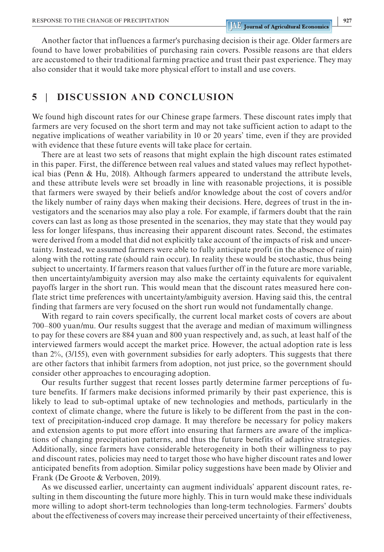Another factor that influences a farmer's purchasing decision is their age. Older farmers are found to have lower probabilities of purchasing rain covers. Possible reasons are that elders are accustomed to their traditional farming practice and trust their past experience. They may also consider that it would take more physical effort to install and use covers.

# **5** | **DISCUSSION AND CONCLUSION**

We found high discount rates for our Chinese grape farmers. These discount rates imply that farmers are very focused on the short term and may not take sufficient action to adapt to the negative implications of weather variability in 10 or 20 years' time, even if they are provided with evidence that these future events will take place for certain.

There are at least two sets of reasons that might explain the high discount rates estimated in this paper. First, the difference between real values and stated values may reflect hypothetical bias (Penn & Hu, 2018). Although farmers appeared to understand the attribute levels, and these attribute levels were set broadly in line with reasonable projections, it is possible that farmers were swayed by their beliefs and/or knowledge about the cost of covers and/or the likely number of rainy days when making their decisions. Here, degrees of trust in the investigators and the scenarios may also play a role. For example, if farmers doubt that the rain covers can last as long as those presented in the scenarios, they may state that they would pay less for longer lifespans, thus increasing their apparent discount rates. Second, the estimates were derived from a model that did not explicitly take account of the impacts of risk and uncertainty. Instead, we assumed farmers were able to fully anticipate profit (in the absence of rain) along with the rotting rate (should rain occur). In reality these would be stochastic, thus being subject to uncertainty. If farmers reason that values further off in the future are more variable, then uncertainty/ambiguity aversion may also make the certainty equivalents for equivalent payoffs larger in the short run. This would mean that the discount rates measured here conflate strict time preferences with uncertainty/ambiguity aversion. Having said this, the central finding that farmers are very focused on the short run would not fundamentally change.

With regard to rain covers specifically, the current local market costs of covers are about 700–800 yuan/mu. Our results suggest that the average and median of maximum willingness to pay for these covers are 884 yuan and 800 yuan respectively and, as such, at least half of the interviewed farmers would accept the market price. However, the actual adoption rate is less than 2%, (3/155), even with government subsidies for early adopters. This suggests that there are other factors that inhibit farmers from adoption, not just price, so the government should consider other approaches to encouraging adoption.

Our results further suggest that recent losses partly determine farmer perceptions of future benefits. If farmers make decisions informed primarily by their past experience, this is likely to lead to sub-optimal uptake of new technologies and methods, particularly in the context of climate change, where the future is likely to be different from the past in the context of precipitation-induced crop damage. It may therefore be necessary for policy makers and extension agents to put more effort into ensuring that farmers are aware of the implications of changing precipitation patterns, and thus the future benefits of adaptive strategies. Additionally, since farmers have considerable heterogeneity in both their willingness to pay and discount rates, policies may need to target those who have higher discount rates and lower anticipated benefits from adoption. Similar policy suggestions have been made by Olivier and Frank (De Groote & Verboven, 2019).

As we discussed earlier, uncertainty can augment individuals' apparent discount rates, resulting in them discounting the future more highly. This in turn would make these individuals more willing to adopt short-term technologies than long-term technologies. Farmers' doubts about the effectiveness of covers may increase their perceived uncertainty of their effectiveness,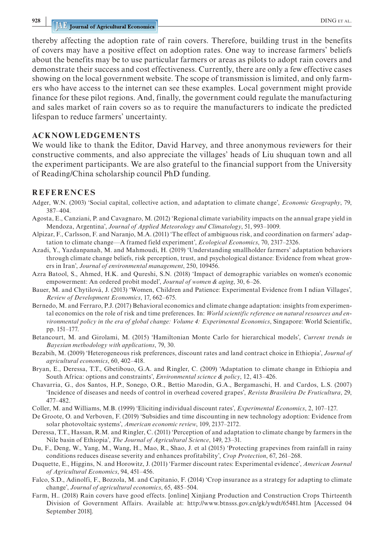thereby affecting the adoption rate of rain covers. Therefore, building trust in the benefits of covers may have a positive effect on adoption rates. One way to increase farmers' beliefs about the benefits may be to use particular farmers or areas as pilots to adopt rain covers and demonstrate their success and cost effectiveness. Currently, there are only a few effective cases showing on the local government website. The scope of transmission is limited, and only farmers who have access to the internet can see these examples. Local government might provide finance for these pilot regions. And, finally, the government could regulate the manufacturing and sales market of rain covers so as to require the manufacturers to indicate the predicted lifespan to reduce farmers' uncertainty.

#### **ACKNOWLEDGEMENTS**

We would like to thank the Editor, David Harvey, and three anonymous reviewers for their constructive comments, and also appreciate the villages' heads of Liu shuquan town and all the experiment participants. We are also grateful to the financial support from the University of Reading/China scholarship council PhD funding.

#### **REFERENCES**

- Adger, W.N. (2003) 'Social capital, collective action, and adaptation to climate change', *Economic Geography*, 79, 387–404.
- Agosta, E., Canziani, P. and Cavagnaro, M. (2012) 'Regional climate variability impacts on the annual grape yield in Mendoza, Argentina', *Journal of Applied Meteorology and Climatology*, 51, 993–1009.
- Alpizar, F., Carlsson, F. and Naranjo, M.A. (2011) 'The effect of ambiguous risk, and coordination on farmers' adaptation to climate change—A framed field experiment', *Ecological Economics*, 70, 2317–2326.
- Azadi, Y., Yazdanpanah, M. and Mahmoudi, H. (2019) 'Understanding smallholder farmers' adaptation behaviors through climate change beliefs, risk perception, trust, and psychological distance: Evidence from wheat growers in Iran', *Journal of environmental management*, 250, 109456.
- Azra Batool, S., Ahmed, H.K. and Qureshi, S.N. (2018) 'Impact of demographic variables on women's economic empowerment: An ordered probit model', *Journal of women & aging*, 30, 6–26.
- Bauer, M. and Chytilová, J. (2013) 'Women, Children and Patience: Experimental Evidence from I ndian Villages', *Review of Development Economics*, 17, 662–675.
- Bernedo, M. and Ferraro, P.J. (2017) Behavioral economics and climate change adaptation: insights from experimental economics on the role of risk and time preferences. In: *World scientific reference on natural resources and environmental policy in the era of global change: Volume 4: Experimental Economics*, Singapore: World Scientific, pp. 151–177.
- Betancourt, M. and Girolami, M. (2015) 'Hamiltonian Monte Carlo for hierarchical models', *Current trends in Bayesian methodology with applications*, 79, 30.
- Bezabih, M. (2009) 'Heterogeneous risk preferences, discount rates and land contract choice in Ethiopia', *Journal of agricultural economics*, 60, 402–418.
- Bryan, E., Deressa, T.T., Gbetibouo, G.A. and Ringler, C. (2009) 'Adaptation to climate change in Ethiopia and South Africa: options and constraints', *Environmental science & policy*, 12, 413–426.
- Chavarria, G., dos Santos, H.P., Sonego, O.R., Bettio Marodin, G.A., Bergamaschi, H. and Cardos, L.S. (2007) 'Incidence of diseases and needs of control in overhead covered grapes', *Revista Brasileira De Fruticultura*, 29, 477–482.
- Coller, M. and Williams, M.B. (1999) 'Eliciting individual discount rates', *Experimental Economics*, 2, 107–127.
- De Groote, O. and Verboven, F. (2019) 'Subsidies and time discounting in new technology adoption: Evidence from solar photovoltaic systems', *American economic review*, 109, 2137–2172.
- Deressa, T.T., Hassan, R.M. and Ringler, C. (2011) 'Perception of and adaptation to climate change by farmers in the Nile basin of Ethiopia', *The Journal of Agricultural Science*, 149, 23–31.
- Du, F., Deng, W., Yang, M., Wang, H., Mao, R., Shao, J. et al (2015) 'Protecting grapevines from rainfall in rainy conditions reduces disease severity and enhances profitability', *Crop Protection*, 67, 261–268.
- Duquette, E., Higgins, N. and Horowitz, J. (2011) 'Farmer discount rates: Experimental evidence', *American Journal of Agricultural Economics*, 94, 451–456.
- Falco, S.D., Adinolfi, F., Bozzola, M. and Capitanio, F. (2014) 'Crop insurance as a strategy for adapting to climate change', *Journal of agricultural economics*, 65, 485–504.
- Farm, H.. (2018) Rain covers have good effects. [online] Xinjiang Production and Construction Crops Thirteenth Division of Government Affairs. Available at: <http://www.btnsss.gov.cn/gk/ywdt/65481.htm>[Accessed 04 September 2018].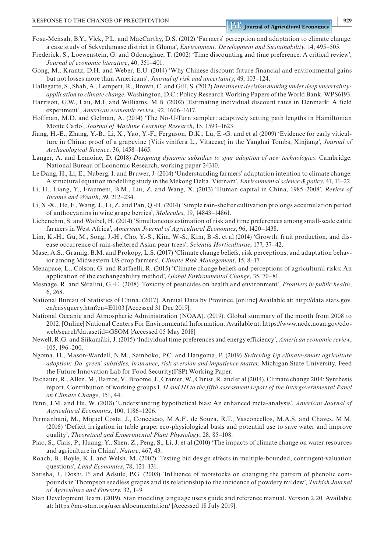- Fosu-Mensah, B.Y., Vlek, P.L. and MacCarthy, D.S. (2012) 'Farmers' perception and adaptation to climate change: a case study of Sekyedumase district in Ghana', *Environment, Development and Sustainability*, 14, 495–505.
- Frederick, S., Loewenstein, G. and Odonoghue, T. (2002) 'Time discounting and time preference: A critical review', *Journal of economic literature*, 40, 351–401.
- Gong, M., Krantz, D.H. and Weber, E.U. (2014) 'Why Chinese discount future financial and environmental gains but not losses more than Americans', *Journal of risk and uncertainty*, 49, 103–124.
- Hallegatte, S., Shah, A., Lempert, R., Brown, C. and Gill, S. (2012) *Investment decision making under deep uncertaintyapplication to climate change*. Washington, D.C.: Policy Research Working Papers of the World Bank. WPS6193.
- Harrison, G.W., Lau, M.I. and Williams, M.B. (2002) 'Estimating individual discount rates in Denmark: A field experiment', *American economic review*, 92, 1606–1617.
- Hoffman, M.D. and Gelman, A. (2014) 'The No-U-Turn sampler: adaptively setting path lengths in Hamiltonian Monte Carlo', *Journal of Machine Learning Research*, 15, 1593–1623.
- Jiang, H.-E., Zhang, Y.-B., Li, X., Yao, Y.-F., Ferguson, D.K., Lü, E.-G. and et al (2009) 'Evidence for early viticulture in China: proof of a grapevine (Vitis vinifera L., Vitaceae) in the Yanghai Tombs, Xinjiang', *Journal of Archaeological Science*, 36, 1458–1465.
- Langer, A. and Lemoine, D. (2018) *Designing dynamic subsidies to spur adoption of new technologies*. Cambridge: National Bureau of Economic Research, working paper 24310.
- Le Dang, H., Li, E., Nuberg, I. and Bruwer, J. (2014) 'Understanding farmers' adaptation intention to climate change: A structural equation modelling study in the Mekong Delta, Vietnam', *Environmental science & policy*, 41, 11–22.
- Li, H., Liang, Y., Fraumeni, B.M., Liu, Z. and Wang, X. (2013) 'Human capital in China, 1985–2008', *Review of Income and Wealth*, 59, 212–234.
- Li, X.-X., He, F., Wang, J., Li, Z. and Pan, Q.-H. (2014) 'Simple rain-shelter cultivation prolongs accumulation period of anthocyanins in wine grape berries', *Molecules*, 19, 14843–14861.
- Liebenehm, S. and Waibel, H. (2014) 'Simultaneous estimation of risk and time preferences among small-scale cattle farmers in West Africa', *American Journal of Agricultural Economics*, 96, 1420–1438.
- Lim, K.-H., Gu, M., Song, J.-H., Cho, Y.-S., Kim, W.-S., Kim, B.-S. et al (2014) 'Growth, fruit production, and disease occurrence of rain-sheltered Asian pear trees', *Scientia Horticulturae*, 177, 37–42.
- Mase, A.S., Gramig, B.M. and Prokopy, L.S. (2017) 'Climate change beliefs, risk perceptions, and adaptation behavior among Midwestern US crop farmers', *Climate Risk Management*, 15, 8–17.
- Menapace, L., Colson, G. and Raffaelli, R. (2015) 'Climate change beliefs and perceptions of agricultural risks: An application of the exchangeability method', *Global Environmental Change*, 35, 70–81.
- Mesnage, R. and Séralini, G.-E. (2018) 'Toxicity of pesticides on health and environment', *Frontiers in public health*, 6, 268.
- National Bureau of Statistics of China. (2017). Annual Data by Province. [online] Available at: [http://data.stats.gov.](http://data.stats.gov.cn/easyquery.htm?cn=E0103) [cn/easyquery.htm?cn=E0103](http://data.stats.gov.cn/easyquery.htm?cn=E0103) [Accessed 31 Dec 2019].
- National Oceanic and Atmospheric Administration (NOAA). (2019). Global summary of the month from 2008 to 2012. [Online] National Centers For Environmental Information. Available at: [https://www.ncdc.noaa.gov/cdo](https://www.ncdc.noaa.gov/cdo-web/search?datasetid=GSOM)[web/search?datasetid=GSOM](https://www.ncdc.noaa.gov/cdo-web/search?datasetid=GSOM) [Accessed 05 May 2018]
- Newell, R.G. and Siikamäki, J. (2015) 'Individual time preferences and energy efficiency', *American economic review*, 105, 196–200.
- Ngoma, H., Mason-Wardell, N.M., Samboko, P.C. and Hangoma, P. (2019) *Switching Up climate-smart agriculture adoption: Do 'green' subsidies, insurance, risk aversion and impatience matter*. Michigan State University, Feed the Future Innovation Lab for Food Security(FSP) Working Paper.
- Pachauri, R., Allen, M., Barros, V., Broome, J., Cramer, W., Christ, R. and et al (2014). Climate change 2014: Synthesis report. Contribution of working groups I. *II and III to the fifth assessment report of the Intergovernmental Panel on Climate Change*, 151, 44.
- Penn, J.M. and Hu, W. (2018) 'Understanding hypothetical bias: An enhanced meta-analysis', *American Journal of Agricultural Economics*, 100, 1186–1206.
- Permanhani, M., Miguel Costa, J., Conceicao, M.A.F., de Souza, R.T., Vasconcellos, M.A.S. and Chaves, M.M. (2016) 'Deficit irrigation in table grape: eco-physiological basis and potential use to save water and improve quality', *Theoretical and Experimental Plant Physiology*, 28, 85–108.
- Piao, S., Ciais, P., Huang, Y., Shen, Z., Peng, S., Li, J. et al (2010) 'The impacts of climate change on water resources and agriculture in China', *Nature*, 467, 43.
- Roach, B., Boyle, K.J. and Welsh, M. (2002) 'Testing bid design effects in multiple-bounded, contingent-valuation questions', *Land Economics*, 78, 121–131.
- Satisha, J., Doshi, P. and Adsule, P.G. (2008) 'Influence of rootstocks on changing the pattern of phenolic compounds in Thompson seedless grapes and its relationship to the incidence of powdery mildew', *Turkish Journal of Agriculture and Forestry*, 32, 1–9.
- Stan Development Team. (2019). Stan modeling language users guide and reference manual. Version 2.20. Available at:<https://mc-stan.org/users/documentation/>[Accessed 18 July 2019].